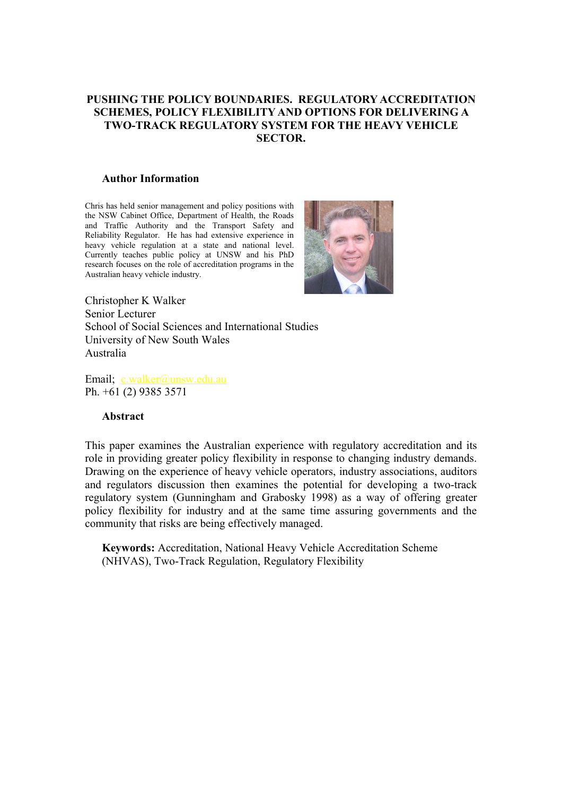#### **PUSHING THE POLICY BOUNDARIES. REGULATORY ACCREDITATION SCHEMES, POLICY FLEXIBILITY AND OPTIONS FOR DELIVERING A TWO-TRACK REGULATORY SYSTEM FOR THE HEAVY VEHICLE SECTOR.**

#### **Author Information**

Chris has held senior management and policy positions with the NSW Cabinet Office, Department of Health, the Roads and Traffic Authority and the Transport Safety and Reliability Regulator. He has had extensive experience in heavy vehicle regulation at a state and national level. Currently teaches public policy at UNSW and his PhD research focuses on the role of accreditation programs in the Australian heavy vehicle industry.



Christopher K Walker Senior Lecturer School of Social Sciences and International Studies University of New South Wales Australia

Email; [c.walker@unsw.edu.au](mailto:c.walker@unsw.edu.au) Ph. +61 (2) 9385 3571

#### **Abstract**

This paper examines the Australian experience with regulatory accreditation and its role in providing greater policy flexibility in response to changing industry demands. Drawing on the experience of heavy vehicle operators, industry associations, auditors and regulators discussion then examines the potential for developing a two-track regulatory system (Gunningham and Grabosky 1998) as a way of offering greater policy flexibility for industry and at the same time assuring governments and the community that risks are being effectively managed.

**Keywords:** Accreditation, National Heavy Vehicle Accreditation Scheme (NHVAS), Two-Track Regulation, Regulatory Flexibility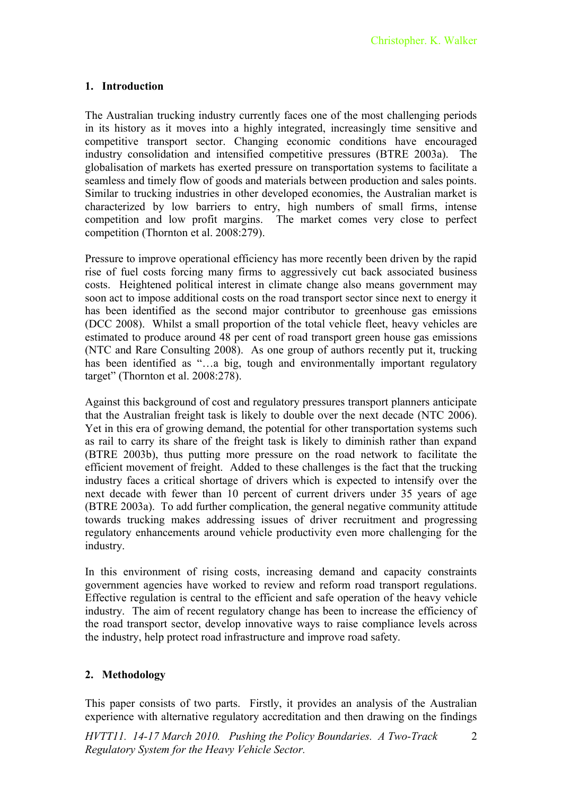# **1. Introduction**

The Australian trucking industry currently faces one of the most challenging periods in its history as it moves into a highly integrated, increasingly time sensitive and competitive transport sector. Changing economic conditions have encouraged industry consolidation and intensified competitive pressures (BTRE 2003a). The globalisation of markets has exerted pressure on transportation systems to facilitate a seamless and timely flow of goods and materials between production and sales points. Similar to trucking industries in other developed economies, the Australian market is characterized by low barriers to entry, high numbers of small firms, intense competition and low profit margins. The market comes very close to perfect competition (Thornton et al. 2008:279).

Pressure to improve operational efficiency has more recently been driven by the rapid rise of fuel costs forcing many firms to aggressively cut back associated business costs. Heightened political interest in climate change also means government may soon act to impose additional costs on the road transport sector since next to energy it has been identified as the second major contributor to greenhouse gas emissions (DCC 2008). Whilst a small proportion of the total vehicle fleet, heavy vehicles are estimated to produce around 48 per cent of road transport green house gas emissions (NTC and Rare Consulting 2008). As one group of authors recently put it, trucking has been identified as "...a big, tough and environmentally important regulatory target" (Thornton et al. 2008:278).

Against this background of cost and regulatory pressures transport planners anticipate that the Australian freight task is likely to double over the next decade (NTC 2006). Yet in this era of growing demand, the potential for other transportation systems such as rail to carry its share of the freight task is likely to diminish rather than expand (BTRE 2003b), thus putting more pressure on the road network to facilitate the efficient movement of freight. Added to these challenges is the fact that the trucking industry faces a critical shortage of drivers which is expected to intensify over the next decade with fewer than 10 percent of current drivers under 35 years of age (BTRE 2003a). To add further complication, the general negative community attitude towards trucking makes addressing issues of driver recruitment and progressing regulatory enhancements around vehicle productivity even more challenging for the industry.

In this environment of rising costs, increasing demand and capacity constraints government agencies have worked to review and reform road transport regulations. Effective regulation is central to the efficient and safe operation of the heavy vehicle industry. The aim of recent regulatory change has been to increase the efficiency of the road transport sector, develop innovative ways to raise compliance levels across the industry, help protect road infrastructure and improve road safety.

# **2. Methodology**

This paper consists of two parts. Firstly, it provides an analysis of the Australian experience with alternative regulatory accreditation and then drawing on the findings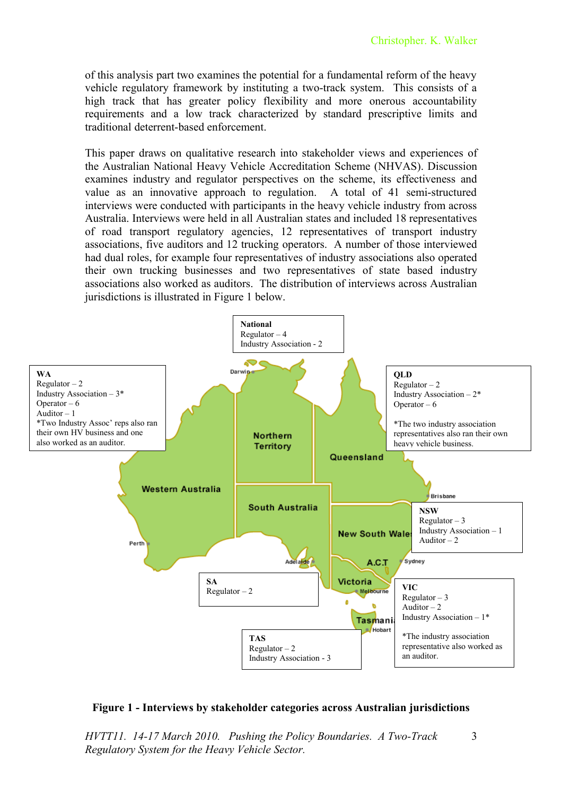of this analysis part two examines the potential for a fundamental reform of the heavy vehicle regulatory framework by instituting a two-track system. This consists of a high track that has greater policy flexibility and more onerous accountability requirements and a low track characterized by standard prescriptive limits and traditional deterrent-based enforcement.

This paper draws on qualitative research into stakeholder views and experiences of the Australian National Heavy Vehicle Accreditation Scheme (NHVAS). Discussion examines industry and regulator perspectives on the scheme, its effectiveness and value as an innovative approach to regulation. A total of 41 semi-structured interviews were conducted with participants in the heavy vehicle industry from across Australia. Interviews were held in all Australian states and included 18 representatives of road transport regulatory agencies, 12 representatives of transport industry associations, five auditors and 12 trucking operators. A number of those interviewed had dual roles, for example four representatives of industry associations also operated their own trucking businesses and two representatives of state based industry associations also worked as auditors. The distribution of interviews across Australian jurisdictions is illustrated in Figure 1 below.



#### **Figure 1 - Interviews by stakeholder categories across Australian jurisdictions**

3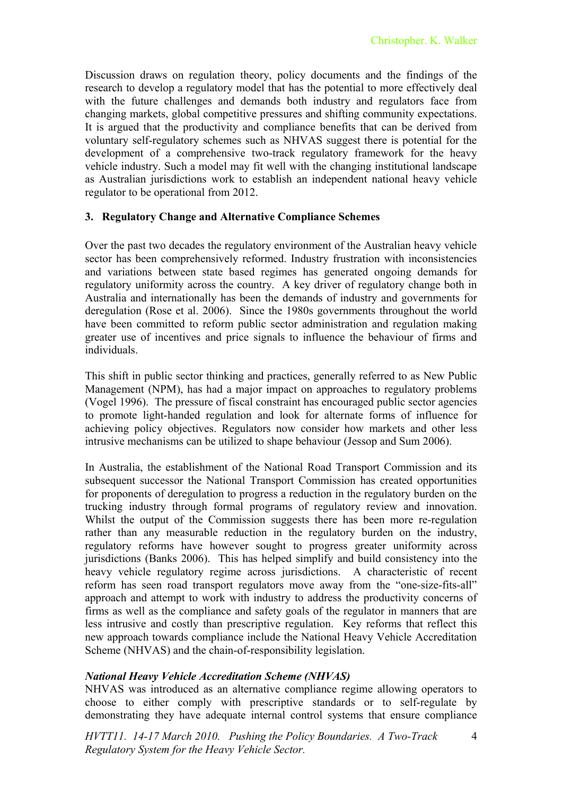Discussion draws on regulation theory, policy documents and the findings of the research to develop a regulatory model that has the potential to more effectively deal with the future challenges and demands both industry and regulators face from changing markets, global competitive pressures and shifting community expectations. It is argued that the productivity and compliance benefits that can be derived from voluntary self-regulatory schemes such as NHVAS suggest there is potential for the development of a comprehensive two-track regulatory framework for the heavy vehicle industry. Such a model may fit well with the changing institutional landscape as Australian jurisdictions work to establish an independent national heavy vehicle regulator to be operational from 2012.

#### **3. Regulatory Change and Alternative Compliance Schemes**

Over the past two decades the regulatory environment of the Australian heavy vehicle sector has been comprehensively reformed. Industry frustration with inconsistencies and variations between state based regimes has generated ongoing demands for regulatory uniformity across the country. A key driver of regulatory change both in Australia and internationally has been the demands of industry and governments for deregulation (Rose et al. 2006). Since the 1980s governments throughout the world have been committed to reform public sector administration and regulation making greater use of incentives and price signals to influence the behaviour of firms and individuals.

This shift in public sector thinking and practices, generally referred to as New Public Management (NPM), has had a major impact on approaches to regulatory problems (Vogel 1996). The pressure of fiscal constraint has encouraged public sector agencies to promote light-handed regulation and look for alternate forms of influence for achieving policy objectives. Regulators now consider how markets and other less intrusive mechanisms can be utilized to shape behaviour (Jessop and Sum 2006).

In Australia, the establishment of the National Road Transport Commission and its subsequent successor the National Transport Commission has created opportunities for proponents of deregulation to progress a reduction in the regulatory burden on the trucking industry through formal programs of regulatory review and innovation. Whilst the output of the Commission suggests there has been more re-regulation rather than any measurable reduction in the regulatory burden on the industry, regulatory reforms have however sought to progress greater uniformity across jurisdictions (Banks 2006). This has helped simplify and build consistency into the heavy vehicle regulatory regime across jurisdictions. A characteristic of recent reform has seen road transport regulators move away from the "one-size-fits-all" approach and attempt to work with industry to address the productivity concerns of firms as well as the compliance and safety goals of the regulator in manners that are less intrusive and costly than prescriptive regulation. Key reforms that reflect this new approach towards compliance include the National Heavy Vehicle Accreditation Scheme (NHVAS) and the chain-of-responsibility legislation.

# *National Heavy Vehicle Accreditation Scheme (NHVAS)*

NHVAS was introduced as an alternative compliance regime allowing operators to choose to either comply with prescriptive standards or to self-regulate by demonstrating they have adequate internal control systems that ensure compliance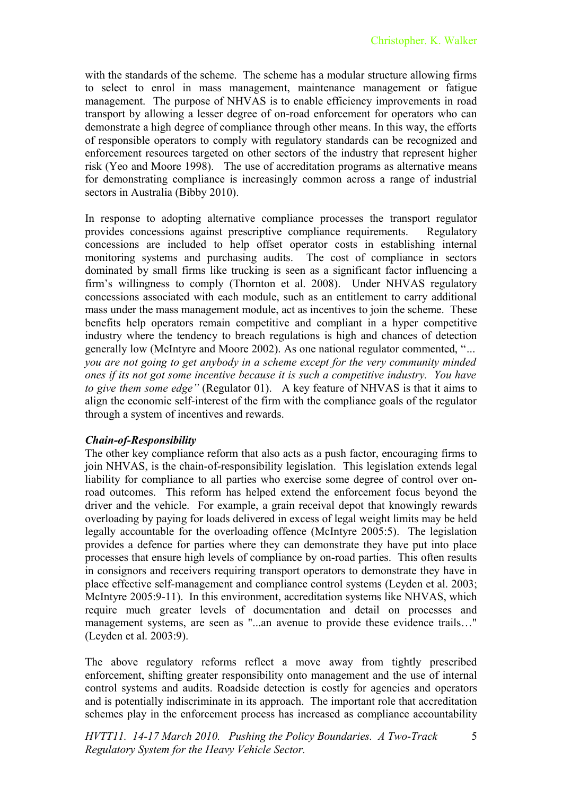with the standards of the scheme. The scheme has a modular structure allowing firms to select to enrol in mass management, maintenance management or fatigue management. The purpose of NHVAS is to enable efficiency improvements in road transport by allowing a lesser degree of on-road enforcement for operators who can demonstrate a high degree of compliance through other means. In this way, the efforts of responsible operators to comply with regulatory standards can be recognized and enforcement resources targeted on other sectors of the industry that represent higher risk (Yeo and Moore 1998). The use of accreditation programs as alternative means for demonstrating compliance is increasingly common across a range of industrial sectors in Australia (Bibby 2010).

In response to adopting alternative compliance processes the transport regulator provides concessions against prescriptive compliance requirements. Regulatory concessions are included to help offset operator costs in establishing internal monitoring systems and purchasing audits. The cost of compliance in sectors dominated by small firms like trucking is seen as a significant factor influencing a firm's willingness to comply (Thornton et al. 2008). Under NHVAS regulatory concessions associated with each module, such as an entitlement to carry additional mass under the mass management module, act as incentives to join the scheme. These benefits help operators remain competitive and compliant in a hyper competitive industry where the tendency to breach regulations is high and chances of detection generally low (McIntyre and Moore 2002). As one national regulator commented, "*… you are not going to get anybody in a scheme except for the very community minded ones if its not got some incentive because it is such a competitive industry. You have to give them some edge"* (Regulator 01).A key feature of NHVAS is that it aims to align the economic self-interest of the firm with the compliance goals of the regulator through a system of incentives and rewards.

# *Chain-of-Responsibility*

The other key compliance reform that also acts as a push factor, encouraging firms to join NHVAS, is the chain-of-responsibility legislation. This legislation extends legal liability for compliance to all parties who exercise some degree of control over onroad outcomes. This reform has helped extend the enforcement focus beyond the driver and the vehicle. For example, a grain receival depot that knowingly rewards overloading by paying for loads delivered in excess of legal weight limits may be held legally accountable for the overloading offence (McIntyre 2005:5). The legislation provides a defence for parties where they can demonstrate they have put into place processes that ensure high levels of compliance by on-road parties. This often results in consignors and receivers requiring transport operators to demonstrate they have in place effective self-management and compliance control systems (Leyden et al. 2003; McIntyre 2005:9-11). In this environment, accreditation systems like NHVAS, which require much greater levels of documentation and detail on processes and management systems, are seen as "...an avenue to provide these evidence trails…" (Leyden et al. 2003:9).

The above regulatory reforms reflect a move away from tightly prescribed enforcement, shifting greater responsibility onto management and the use of internal control systems and audits. Roadside detection is costly for agencies and operators and is potentially indiscriminate in its approach. The important role that accreditation schemes play in the enforcement process has increased as compliance accountability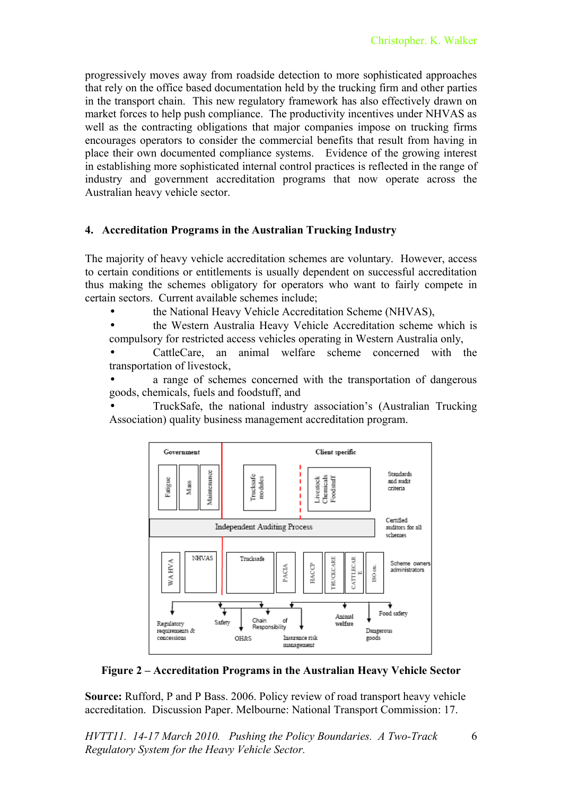progressively moves away from roadside detection to more sophisticated approaches that rely on the office based documentation held by the trucking firm and other parties in the transport chain. This new regulatory framework has also effectively drawn on market forces to help push compliance. The productivity incentives under NHVAS as well as the contracting obligations that major companies impose on trucking firms encourages operators to consider the commercial benefits that result from having in place their own documented compliance systems. Evidence of the growing interest in establishing more sophisticated internal control practices is reflected in the range of industry and government accreditation programs that now operate across the Australian heavy vehicle sector.

#### **4. Accreditation Programs in the Australian Trucking Industry**

The majority of heavy vehicle accreditation schemes are voluntary. However, access to certain conditions or entitlements is usually dependent on successful accreditation thus making the schemes obligatory for operators who want to fairly compete in certain sectors. Current available schemes include;

• the National Heavy Vehicle Accreditation Scheme (NHVAS),

• the Western Australia Heavy Vehicle Accreditation scheme which is compulsory for restricted access vehicles operating in Western Australia only,

• CattleCare, an animal welfare scheme concerned with the transportation of livestock,

a range of schemes concerned with the transportation of dangerous goods, chemicals, fuels and foodstuff, and

• TruckSafe, the national industry association's (Australian Trucking Association) quality business management accreditation program.



**Figure 2 – Accreditation Programs in the Australian Heavy Vehicle Sector**

**Source:** Rufford, P and P Bass. 2006. Policy review of road transport heavy vehicle accreditation. Discussion Paper. Melbourne: National Transport Commission: 17.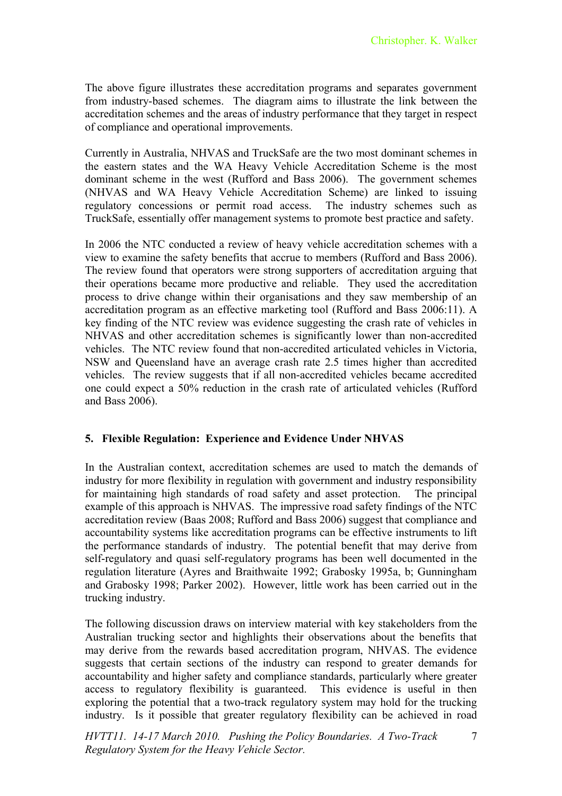The above figure illustrates these accreditation programs and separates government from industry-based schemes. The diagram aims to illustrate the link between the accreditation schemes and the areas of industry performance that they target in respect of compliance and operational improvements.

Currently in Australia, NHVAS and TruckSafe are the two most dominant schemes in the eastern states and the WA Heavy Vehicle Accreditation Scheme is the most dominant scheme in the west (Rufford and Bass 2006). The government schemes (NHVAS and WA Heavy Vehicle Accreditation Scheme) are linked to issuing regulatory concessions or permit road access. The industry schemes such as TruckSafe, essentially offer management systems to promote best practice and safety.

In 2006 the NTC conducted a review of heavy vehicle accreditation schemes with a view to examine the safety benefits that accrue to members (Rufford and Bass 2006). The review found that operators were strong supporters of accreditation arguing that their operations became more productive and reliable. They used the accreditation process to drive change within their organisations and they saw membership of an accreditation program as an effective marketing tool (Rufford and Bass 2006:11). A key finding of the NTC review was evidence suggesting the crash rate of vehicles in NHVAS and other accreditation schemes is significantly lower than non-accredited vehicles. The NTC review found that non-accredited articulated vehicles in Victoria, NSW and Queensland have an average crash rate 2.5 times higher than accredited vehicles. The review suggests that if all non-accredited vehicles became accredited one could expect a 50% reduction in the crash rate of articulated vehicles (Rufford and Bass 2006).

# **5. Flexible Regulation: Experience and Evidence Under NHVAS**

In the Australian context, accreditation schemes are used to match the demands of industry for more flexibility in regulation with government and industry responsibility for maintaining high standards of road safety and asset protection. The principal example of this approach is NHVAS. The impressive road safety findings of the NTC accreditation review (Baas 2008; Rufford and Bass 2006) suggest that compliance and accountability systems like accreditation programs can be effective instruments to lift the performance standards of industry. The potential benefit that may derive from self-regulatory and quasi self-regulatory programs has been well documented in the regulation literature (Ayres and Braithwaite 1992; Grabosky 1995a, b; Gunningham and Grabosky 1998; Parker 2002). However, little work has been carried out in the trucking industry.

The following discussion draws on interview material with key stakeholders from the Australian trucking sector and highlights their observations about the benefits that may derive from the rewards based accreditation program, NHVAS. The evidence suggests that certain sections of the industry can respond to greater demands for accountability and higher safety and compliance standards, particularly where greater access to regulatory flexibility is guaranteed. This evidence is useful in then exploring the potential that a two-track regulatory system may hold for the trucking industry. Is it possible that greater regulatory flexibility can be achieved in road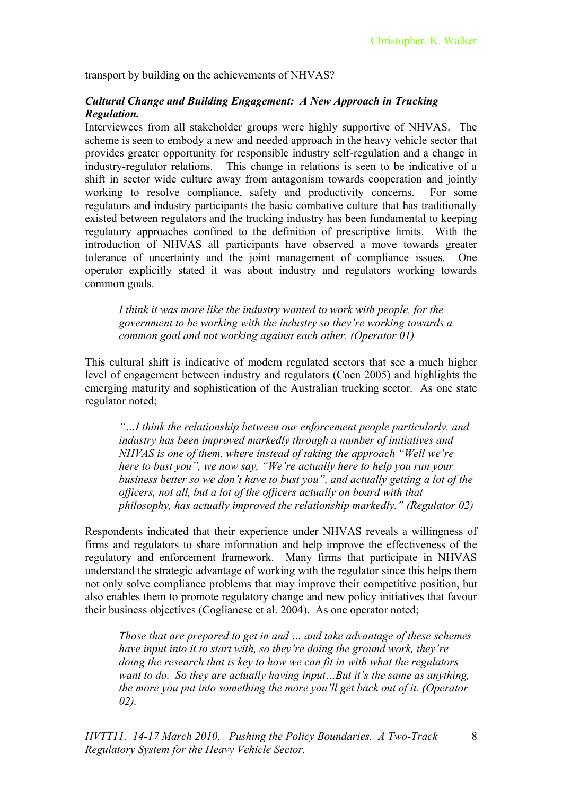transport by building on the achievements of NHVAS?

# *Cultural Change and Building Engagement: A New Approach in Trucking Regulation.*

Interviewees from all stakeholder groups were highly supportive of NHVAS. The scheme is seen to embody a new and needed approach in the heavy vehicle sector that provides greater opportunity for responsible industry self-regulation and a change in industry-regulator relations. This change in relations is seen to be indicative of a shift in sector wide culture away from antagonism towards cooperation and jointly working to resolve compliance, safety and productivity concerns. For some regulators and industry participants the basic combative culture that has traditionally existed between regulators and the trucking industry has been fundamental to keeping regulatory approaches confined to the definition of prescriptive limits. With the introduction of NHVAS all participants have observed a move towards greater tolerance of uncertainty and the joint management of compliance issues. One operator explicitly stated it was about industry and regulators working towards common goals.

*I think it was more like the industry wanted to work with people, for the government to be working with the industry so they're working towards a common goal and not working against each other. (Operator 01)*

This cultural shift is indicative of modern regulated sectors that see a much higher level of engagement between industry and regulators (Coen 2005) and highlights the emerging maturity and sophistication of the Australian trucking sector. As one state regulator noted;

*"…I think the relationship between our enforcement people particularly, and industry has been improved markedly through a number of initiatives and NHVAS is one of them, where instead of taking the approach "Well we're here to bust you", we now say, "We're actually here to help you run your business better so we don't have to bust you", and actually getting a lot of the officers, not all, but a lot of the officers actually on board with that philosophy, has actually improved the relationship markedly." (Regulator 02)*

Respondents indicated that their experience under NHVAS reveals a willingness of firms and regulators to share information and help improve the effectiveness of the regulatory and enforcement framework. Many firms that participate in NHVAS understand the strategic advantage of working with the regulator since this helps them not only solve compliance problems that may improve their competitive position, but also enables them to promote regulatory change and new policy initiatives that favour their business objectives (Coglianese et al. 2004). As one operator noted;

*Those that are prepared to get in and … and take advantage of these schemes have input into it to start with, so they're doing the ground work, they're doing the research that is key to how we can fit in with what the regulators want to do. So they are actually having input…But it's the same as anything, the more you put into something the more you'll get back out of it. (Operator 02).*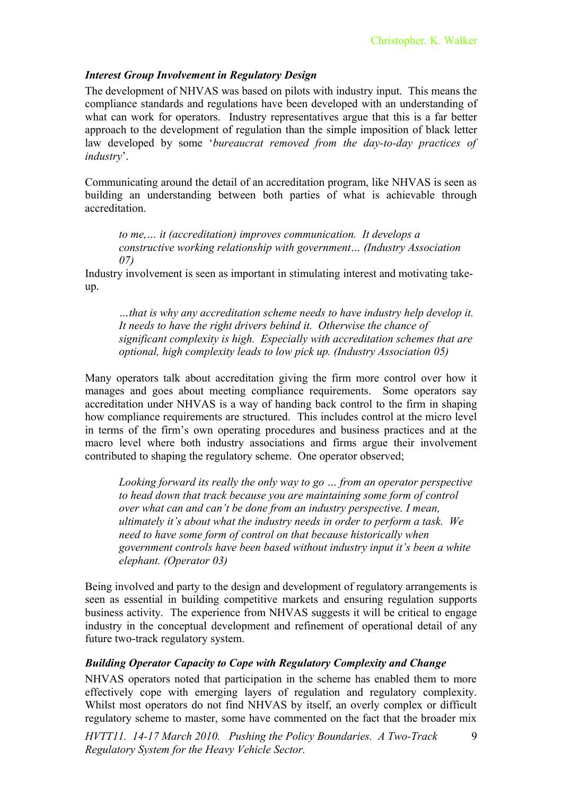# *Interest Group Involvement in Regulatory Design*

The development of NHVAS was based on pilots with industry input. This means the compliance standards and regulations have been developed with an understanding of what can work for operators. Industry representatives argue that this is a far better approach to the development of regulation than the simple imposition of black letter law developed by some '*bureaucrat removed from the day-to-day practices of industry*'.

Communicating around the detail of an accreditation program, like NHVAS is seen as building an understanding between both parties of what is achievable through accreditation.

*to me,… it (accreditation) improves communication. It develops a constructive working relationship with government… (Industry Association 07)*

Industry involvement is seen as important in stimulating interest and motivating takeup.

*…that is why any accreditation scheme needs to have industry help develop it. It needs to have the right drivers behind it. Otherwise the chance of significant complexity is high. Especially with accreditation schemes that are optional, high complexity leads to low pick up. (Industry Association 05)*

Many operators talk about accreditation giving the firm more control over how it manages and goes about meeting compliance requirements. Some operators say accreditation under NHVAS is a way of handing back control to the firm in shaping how compliance requirements are structured. This includes control at the micro level in terms of the firm's own operating procedures and business practices and at the macro level where both industry associations and firms argue their involvement contributed to shaping the regulatory scheme. One operator observed;

*Looking forward its really the only way to go … from an operator perspective to head down that track because you are maintaining some form of control over what can and can't be done from an industry perspective. I mean, ultimately it's about what the industry needs in order to perform a task. We need to have some form of control on that because historically when government controls have been based without industry input it's been a white elephant. (Operator 03)*

Being involved and party to the design and development of regulatory arrangements is seen as essential in building competitive markets and ensuring regulation supports business activity. The experience from NHVAS suggests it will be critical to engage industry in the conceptual development and refinement of operational detail of any future two-track regulatory system.

# *Building Operator Capacity to Cope with Regulatory Complexity and Change*

NHVAS operators noted that participation in the scheme has enabled them to more effectively cope with emerging layers of regulation and regulatory complexity. Whilst most operators do not find NHVAS by itself, an overly complex or difficult regulatory scheme to master, some have commented on the fact that the broader mix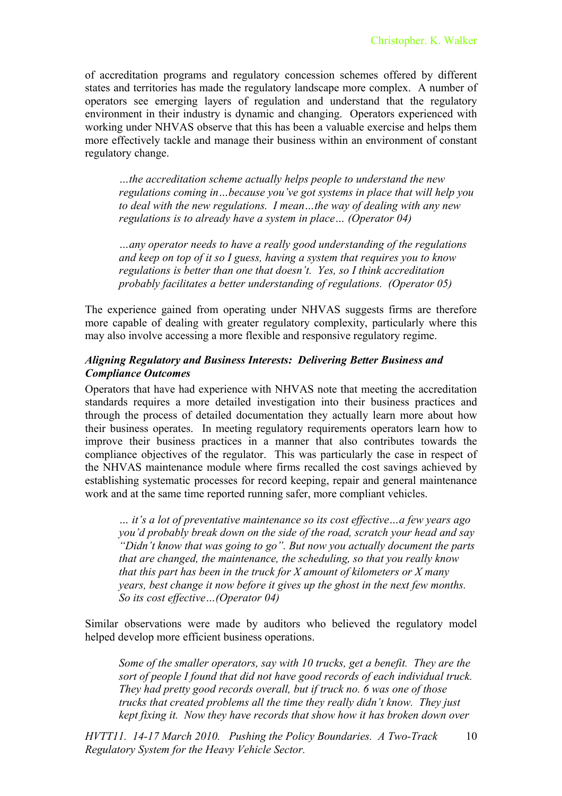of accreditation programs and regulatory concession schemes offered by different states and territories has made the regulatory landscape more complex. A number of operators see emerging layers of regulation and understand that the regulatory environment in their industry is dynamic and changing. Operators experienced with working under NHVAS observe that this has been a valuable exercise and helps them more effectively tackle and manage their business within an environment of constant regulatory change.

*…the accreditation scheme actually helps people to understand the new regulations coming in…because you've got systems in place that will help you to deal with the new regulations. I mean…the way of dealing with any new regulations is to already have a system in place… (Operator 04)*

*…any operator needs to have a really good understanding of the regulations and keep on top of it so I guess, having a system that requires you to know regulations is better than one that doesn't. Yes, so I think accreditation probably facilitates a better understanding of regulations. (Operator 05)*

The experience gained from operating under NHVAS suggests firms are therefore more capable of dealing with greater regulatory complexity, particularly where this may also involve accessing a more flexible and responsive regulatory regime.

### *Aligning Regulatory and Business Interests: Delivering Better Business and Compliance Outcomes*

Operators that have had experience with NHVAS note that meeting the accreditation standards requires a more detailed investigation into their business practices and through the process of detailed documentation they actually learn more about how their business operates. In meeting regulatory requirements operators learn how to improve their business practices in a manner that also contributes towards the compliance objectives of the regulator. This was particularly the case in respect of the NHVAS maintenance module where firms recalled the cost savings achieved by establishing systematic processes for record keeping, repair and general maintenance work and at the same time reported running safer, more compliant vehicles.

*… it's a lot of preventative maintenance so its cost effective…a few years ago you'd probably break down on the side of the road, scratch your head and say "Didn't know that was going to go". But now you actually document the parts that are changed, the maintenance, the scheduling, so that you really know that this part has been in the truck for X amount of kilometers or X many years, best change it now before it gives up the ghost in the next few months. So its cost effective…(Operator 04)*

Similar observations were made by auditors who believed the regulatory model helped develop more efficient business operations.

*Some of the smaller operators, say with 10 trucks, get a benefit. They are the sort of people I found that did not have good records of each individual truck. They had pretty good records overall, but if truck no. 6 was one of those trucks that created problems all the time they really didn't know. They just kept fixing it. Now they have records that show how it has broken down over*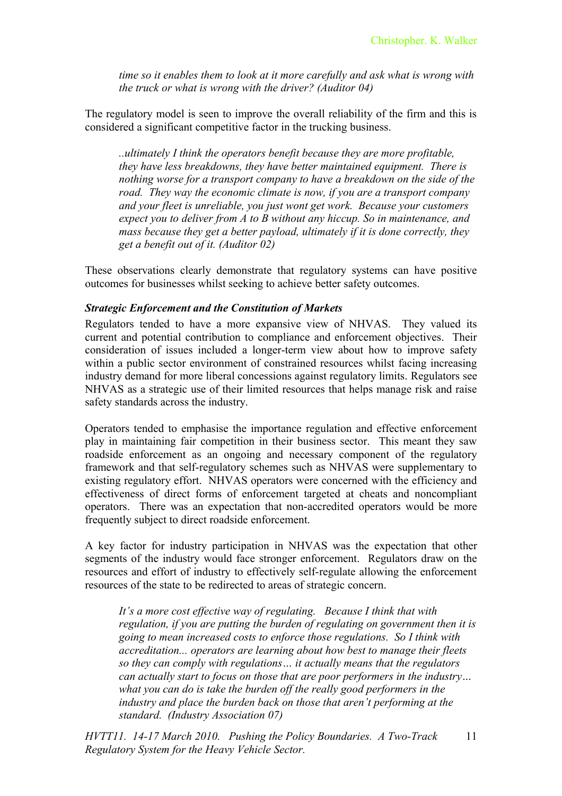*time so it enables them to look at it more carefully and ask what is wrong with the truck or what is wrong with the driver? (Auditor 04)*

The regulatory model is seen to improve the overall reliability of the firm and this is considered a significant competitive factor in the trucking business.

*..ultimately I think the operators benefit because they are more profitable, they have less breakdowns, they have better maintained equipment. There is nothing worse for a transport company to have a breakdown on the side of the road. They way the economic climate is now, if you are a transport company and your fleet is unreliable, you just wont get work. Because your customers expect you to deliver from A to B without any hiccup. So in maintenance, and mass because they get a better payload, ultimately if it is done correctly, they get a benefit out of it. (Auditor 02)*

These observations clearly demonstrate that regulatory systems can have positive outcomes for businesses whilst seeking to achieve better safety outcomes.

#### *Strategic Enforcement and the Constitution of Markets*

Regulators tended to have a more expansive view of NHVAS. They valued its current and potential contribution to compliance and enforcement objectives. Their consideration of issues included a longer-term view about how to improve safety within a public sector environment of constrained resources whilst facing increasing industry demand for more liberal concessions against regulatory limits. Regulators see NHVAS as a strategic use of their limited resources that helps manage risk and raise safety standards across the industry.

Operators tended to emphasise the importance regulation and effective enforcement play in maintaining fair competition in their business sector. This meant they saw roadside enforcement as an ongoing and necessary component of the regulatory framework and that self-regulatory schemes such as NHVAS were supplementary to existing regulatory effort. NHVAS operators were concerned with the efficiency and effectiveness of direct forms of enforcement targeted at cheats and noncompliant operators. There was an expectation that non-accredited operators would be more frequently subject to direct roadside enforcement.

A key factor for industry participation in NHVAS was the expectation that other segments of the industry would face stronger enforcement. Regulators draw on the resources and effort of industry to effectively self-regulate allowing the enforcement resources of the state to be redirected to areas of strategic concern.

*It's a more cost effective way of regulating. Because I think that with regulation, if you are putting the burden of regulating on government then it is going to mean increased costs to enforce those regulations. So I think with accreditation... operators are learning about how best to manage their fleets so they can comply with regulations… it actually means that the regulators can actually start to focus on those that are poor performers in the industry… what you can do is take the burden off the really good performers in the industry and place the burden back on those that aren't performing at the standard. (Industry Association 07)*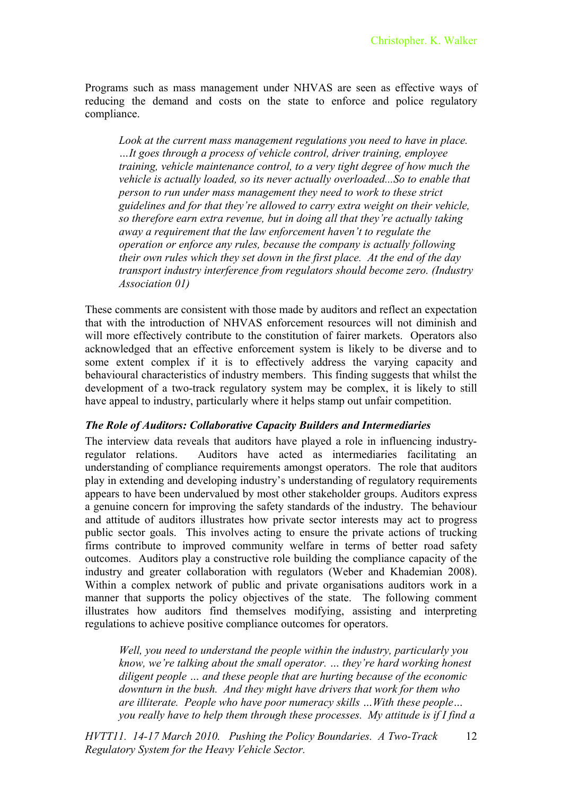Programs such as mass management under NHVAS are seen as effective ways of reducing the demand and costs on the state to enforce and police regulatory compliance.

*Look at the current mass management regulations you need to have in place. …It goes through a process of vehicle control, driver training, employee training, vehicle maintenance control, to a very tight degree of how much the vehicle is actually loaded, so its never actually overloaded...So to enable that person to run under mass management they need to work to these strict guidelines and for that they're allowed to carry extra weight on their vehicle, so therefore earn extra revenue, but in doing all that they're actually taking away a requirement that the law enforcement haven't to regulate the operation or enforce any rules, because the company is actually following their own rules which they set down in the first place. At the end of the day transport industry interference from regulators should become zero. (Industry Association 01)*

These comments are consistent with those made by auditors and reflect an expectation that with the introduction of NHVAS enforcement resources will not diminish and will more effectively contribute to the constitution of fairer markets. Operators also acknowledged that an effective enforcement system is likely to be diverse and to some extent complex if it is to effectively address the varying capacity and behavioural characteristics of industry members. This finding suggests that whilst the development of a two-track regulatory system may be complex, it is likely to still have appeal to industry, particularly where it helps stamp out unfair competition.

#### *The Role of Auditors: Collaborative Capacity Builders and Intermediaries*

The interview data reveals that auditors have played a role in influencing industryregulator relations. Auditors have acted as intermediaries facilitating an understanding of compliance requirements amongst operators. The role that auditors play in extending and developing industry's understanding of regulatory requirements appears to have been undervalued by most other stakeholder groups. Auditors express a genuine concern for improving the safety standards of the industry. The behaviour and attitude of auditors illustrates how private sector interests may act to progress public sector goals. This involves acting to ensure the private actions of trucking firms contribute to improved community welfare in terms of better road safety outcomes. Auditors play a constructive role building the compliance capacity of the industry and greater collaboration with regulators (Weber and Khademian 2008). Within a complex network of public and private organisations auditors work in a manner that supports the policy objectives of the state. The following comment illustrates how auditors find themselves modifying, assisting and interpreting regulations to achieve positive compliance outcomes for operators.

*Well, you need to understand the people within the industry, particularly you know, we're talking about the small operator. … they're hard working honest diligent people … and these people that are hurting because of the economic downturn in the bush. And they might have drivers that work for them who are illiterate. People who have poor numeracy skills …With these people… you really have to help them through these processes. My attitude is if I find a*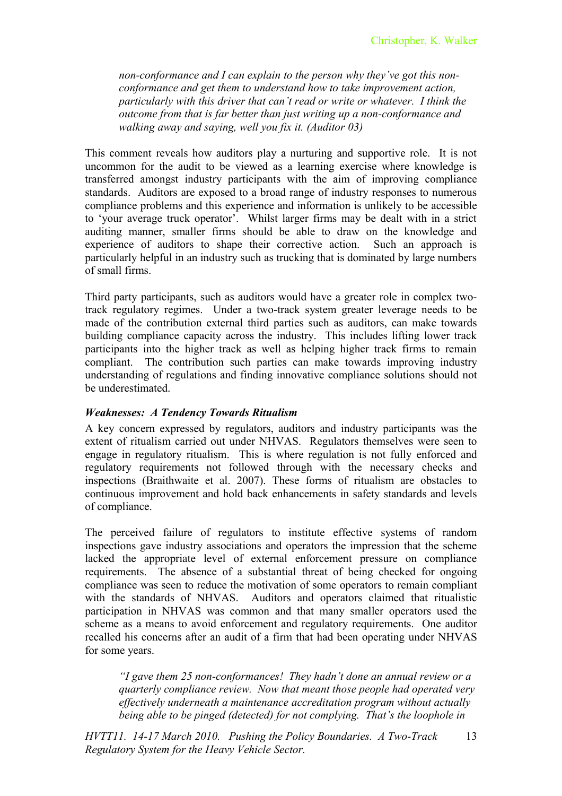*non-conformance and I can explain to the person why they've got this nonconformance and get them to understand how to take improvement action, particularly with this driver that can't read or write or whatever. I think the outcome from that is far better than just writing up a non-conformance and walking away and saying, well you fix it. (Auditor 03)*

This comment reveals how auditors play a nurturing and supportive role. It is not uncommon for the audit to be viewed as a learning exercise where knowledge is transferred amongst industry participants with the aim of improving compliance standards. Auditors are exposed to a broad range of industry responses to numerous compliance problems and this experience and information is unlikely to be accessible to 'your average truck operator'. Whilst larger firms may be dealt with in a strict auditing manner, smaller firms should be able to draw on the knowledge and experience of auditors to shape their corrective action. Such an approach is particularly helpful in an industry such as trucking that is dominated by large numbers of small firms.

Third party participants, such as auditors would have a greater role in complex twotrack regulatory regimes. Under a two-track system greater leverage needs to be made of the contribution external third parties such as auditors, can make towards building compliance capacity across the industry. This includes lifting lower track participants into the higher track as well as helping higher track firms to remain compliant. The contribution such parties can make towards improving industry understanding of regulations and finding innovative compliance solutions should not be underestimated.

# *Weaknesses: A Tendency Towards Ritualism*

A key concern expressed by regulators, auditors and industry participants was the extent of ritualism carried out under NHVAS. Regulators themselves were seen to engage in regulatory ritualism. This is where regulation is not fully enforced and regulatory requirements not followed through with the necessary checks and inspections (Braithwaite et al. 2007). These forms of ritualism are obstacles to continuous improvement and hold back enhancements in safety standards and levels of compliance.

The perceived failure of regulators to institute effective systems of random inspections gave industry associations and operators the impression that the scheme lacked the appropriate level of external enforcement pressure on compliance requirements. The absence of a substantial threat of being checked for ongoing compliance was seen to reduce the motivation of some operators to remain compliant with the standards of NHVAS. Auditors and operators claimed that ritualistic participation in NHVAS was common and that many smaller operators used the scheme as a means to avoid enforcement and regulatory requirements. One auditor recalled his concerns after an audit of a firm that had been operating under NHVAS for some years.

*"I gave them 25 non-conformances! They hadn't done an annual review or a quarterly compliance review. Now that meant those people had operated very effectively underneath a maintenance accreditation program without actually being able to be pinged (detected) for not complying. That's the loophole in*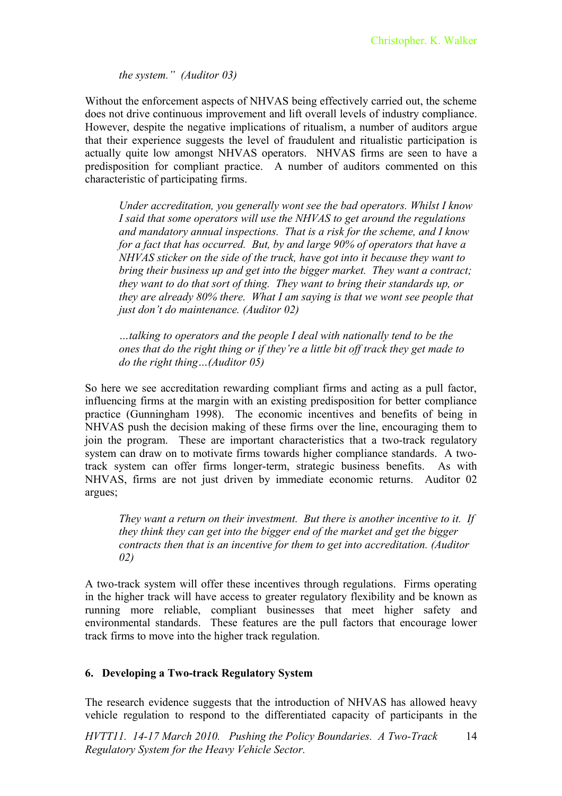*the system." (Auditor 03)*

Without the enforcement aspects of NHVAS being effectively carried out, the scheme does not drive continuous improvement and lift overall levels of industry compliance. However, despite the negative implications of ritualism, a number of auditors argue that their experience suggests the level of fraudulent and ritualistic participation is actually quite low amongst NHVAS operators. NHVAS firms are seen to have a predisposition for compliant practice. A number of auditors commented on this characteristic of participating firms.

*Under accreditation, you generally wont see the bad operators. Whilst I know I said that some operators will use the NHVAS to get around the regulations and mandatory annual inspections. That is a risk for the scheme, and I know for a fact that has occurred. But, by and large 90% of operators that have a NHVAS sticker on the side of the truck, have got into it because they want to bring their business up and get into the bigger market. They want a contract; they want to do that sort of thing. They want to bring their standards up, or they are already 80% there. What I am saying is that we wont see people that just don't do maintenance. (Auditor 02)*

*…talking to operators and the people I deal with nationally tend to be the ones that do the right thing or if they're a little bit off track they get made to do the right thing…(Auditor 05)*

So here we see accreditation rewarding compliant firms and acting as a pull factor, influencing firms at the margin with an existing predisposition for better compliance practice (Gunningham 1998). The economic incentives and benefits of being in NHVAS push the decision making of these firms over the line, encouraging them to join the program. These are important characteristics that a two-track regulatory system can draw on to motivate firms towards higher compliance standards. A twotrack system can offer firms longer-term, strategic business benefits. As with NHVAS, firms are not just driven by immediate economic returns. Auditor 02 argues;

*They want a return on their investment. But there is another incentive to it. If they think they can get into the bigger end of the market and get the bigger contracts then that is an incentive for them to get into accreditation. (Auditor 02)*

A two-track system will offer these incentives through regulations. Firms operating in the higher track will have access to greater regulatory flexibility and be known as running more reliable, compliant businesses that meet higher safety and environmental standards. These features are the pull factors that encourage lower track firms to move into the higher track regulation.

# **6. Developing a Two-track Regulatory System**

The research evidence suggests that the introduction of NHVAS has allowed heavy vehicle regulation to respond to the differentiated capacity of participants in the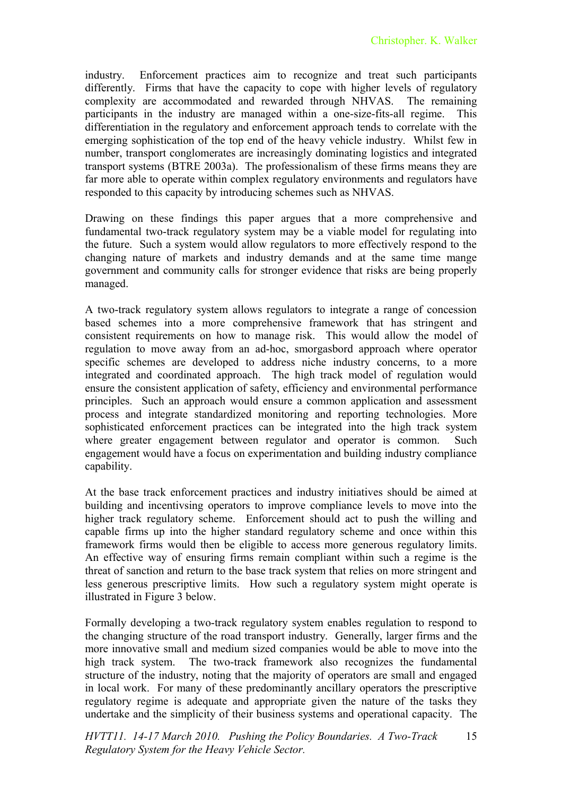industry. Enforcement practices aim to recognize and treat such participants differently. Firms that have the capacity to cope with higher levels of regulatory complexity are accommodated and rewarded through NHVAS. The remaining participants in the industry are managed within a one-size-fits-all regime. This differentiation in the regulatory and enforcement approach tends to correlate with the emerging sophistication of the top end of the heavy vehicle industry. Whilst few in number, transport conglomerates are increasingly dominating logistics and integrated transport systems (BTRE 2003a). The professionalism of these firms means they are far more able to operate within complex regulatory environments and regulators have responded to this capacity by introducing schemes such as NHVAS.

Drawing on these findings this paper argues that a more comprehensive and fundamental two-track regulatory system may be a viable model for regulating into the future. Such a system would allow regulators to more effectively respond to the changing nature of markets and industry demands and at the same time mange government and community calls for stronger evidence that risks are being properly managed.

A two-track regulatory system allows regulators to integrate a range of concession based schemes into a more comprehensive framework that has stringent and consistent requirements on how to manage risk. This would allow the model of regulation to move away from an ad-hoc, smorgasbord approach where operator specific schemes are developed to address niche industry concerns, to a more integrated and coordinated approach. The high track model of regulation would ensure the consistent application of safety, efficiency and environmental performance principles. Such an approach would ensure a common application and assessment process and integrate standardized monitoring and reporting technologies. More sophisticated enforcement practices can be integrated into the high track system where greater engagement between regulator and operator is common. Such engagement would have a focus on experimentation and building industry compliance capability.

At the base track enforcement practices and industry initiatives should be aimed at building and incentivsing operators to improve compliance levels to move into the higher track regulatory scheme. Enforcement should act to push the willing and capable firms up into the higher standard regulatory scheme and once within this framework firms would then be eligible to access more generous regulatory limits. An effective way of ensuring firms remain compliant within such a regime is the threat of sanction and return to the base track system that relies on more stringent and less generous prescriptive limits. How such a regulatory system might operate is illustrated in Figure 3 below.

Formally developing a two-track regulatory system enables regulation to respond to the changing structure of the road transport industry. Generally, larger firms and the more innovative small and medium sized companies would be able to move into the high track system. The two-track framework also recognizes the fundamental structure of the industry, noting that the majority of operators are small and engaged in local work. For many of these predominantly ancillary operators the prescriptive regulatory regime is adequate and appropriate given the nature of the tasks they undertake and the simplicity of their business systems and operational capacity. The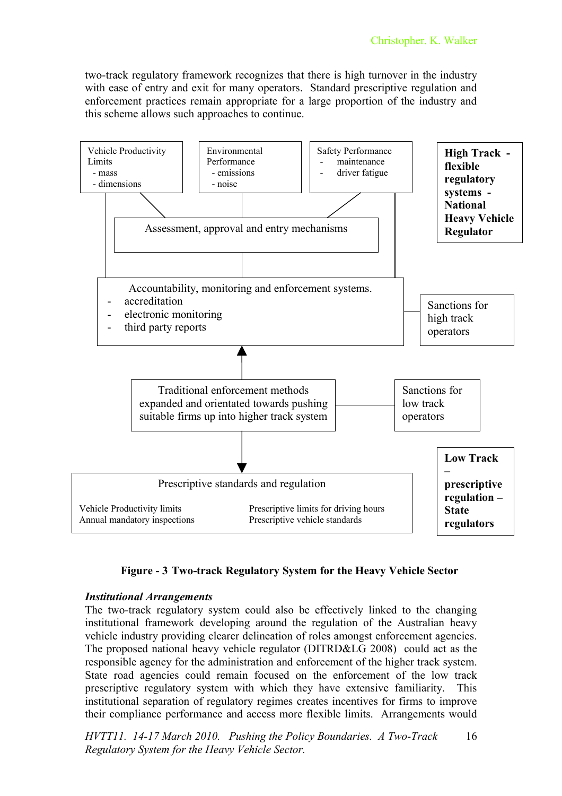two-track regulatory framework recognizes that there is high turnover in the industry with ease of entry and exit for many operators. Standard prescriptive regulation and enforcement practices remain appropriate for a large proportion of the industry and this scheme allows such approaches to continue.



# **Figure - 3 Two-track Regulatory System for the Heavy Vehicle Sector**

#### *Institutional Arrangements*

The two-track regulatory system could also be effectively linked to the changing institutional framework developing around the regulation of the Australian heavy vehicle industry providing clearer delineation of roles amongst enforcement agencies. The proposed national heavy vehicle regulator (DITRD&LG 2008) could act as the responsible agency for the administration and enforcement of the higher track system. State road agencies could remain focused on the enforcement of the low track prescriptive regulatory system with which they have extensive familiarity. This institutional separation of regulatory regimes creates incentives for firms to improve their compliance performance and access more flexible limits. Arrangements would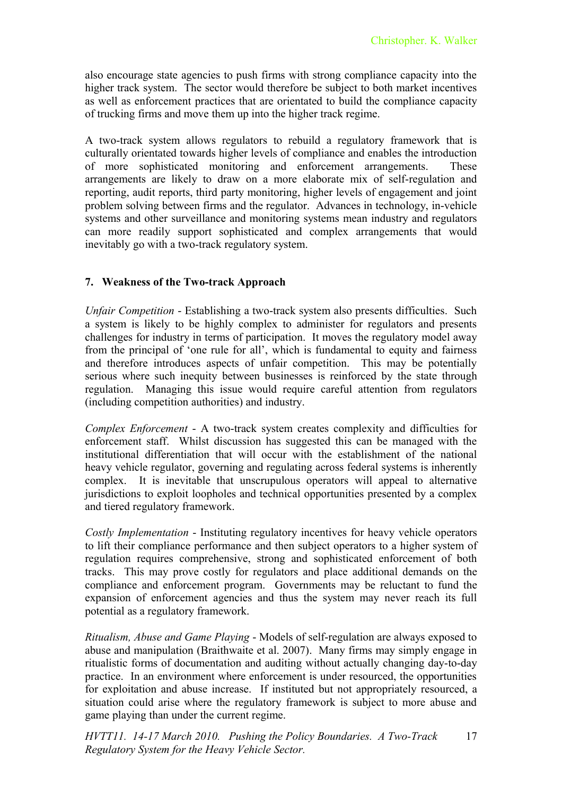also encourage state agencies to push firms with strong compliance capacity into the higher track system. The sector would therefore be subject to both market incentives as well as enforcement practices that are orientated to build the compliance capacity of trucking firms and move them up into the higher track regime.

A two-track system allows regulators to rebuild a regulatory framework that is culturally orientated towards higher levels of compliance and enables the introduction of more sophisticated monitoring and enforcement arrangements. These arrangements are likely to draw on a more elaborate mix of self-regulation and reporting, audit reports, third party monitoring, higher levels of engagement and joint problem solving between firms and the regulator. Advances in technology, in-vehicle systems and other surveillance and monitoring systems mean industry and regulators can more readily support sophisticated and complex arrangements that would inevitably go with a two-track regulatory system.

#### **7. Weakness of the Two-track Approach**

*Unfair Competition* - Establishing a two-track system also presents difficulties. Such a system is likely to be highly complex to administer for regulators and presents challenges for industry in terms of participation. It moves the regulatory model away from the principal of 'one rule for all', which is fundamental to equity and fairness and therefore introduces aspects of unfair competition. This may be potentially serious where such inequity between businesses is reinforced by the state through regulation. Managing this issue would require careful attention from regulators (including competition authorities) and industry.

*Complex Enforcement* - A two-track system creates complexity and difficulties for enforcement staff. Whilst discussion has suggested this can be managed with the institutional differentiation that will occur with the establishment of the national heavy vehicle regulator, governing and regulating across federal systems is inherently complex. It is inevitable that unscrupulous operators will appeal to alternative jurisdictions to exploit loopholes and technical opportunities presented by a complex and tiered regulatory framework.

*Costly Implementation* - Instituting regulatory incentives for heavy vehicle operators to lift their compliance performance and then subject operators to a higher system of regulation requires comprehensive, strong and sophisticated enforcement of both tracks. This may prove costly for regulators and place additional demands on the compliance and enforcement program. Governments may be reluctant to fund the expansion of enforcement agencies and thus the system may never reach its full potential as a regulatory framework.

*Ritualism, Abuse and Game Playing* - Models of self-regulation are always exposed to abuse and manipulation (Braithwaite et al. 2007). Many firms may simply engage in ritualistic forms of documentation and auditing without actually changing day-to-day practice. In an environment where enforcement is under resourced, the opportunities for exploitation and abuse increase. If instituted but not appropriately resourced, a situation could arise where the regulatory framework is subject to more abuse and game playing than under the current regime.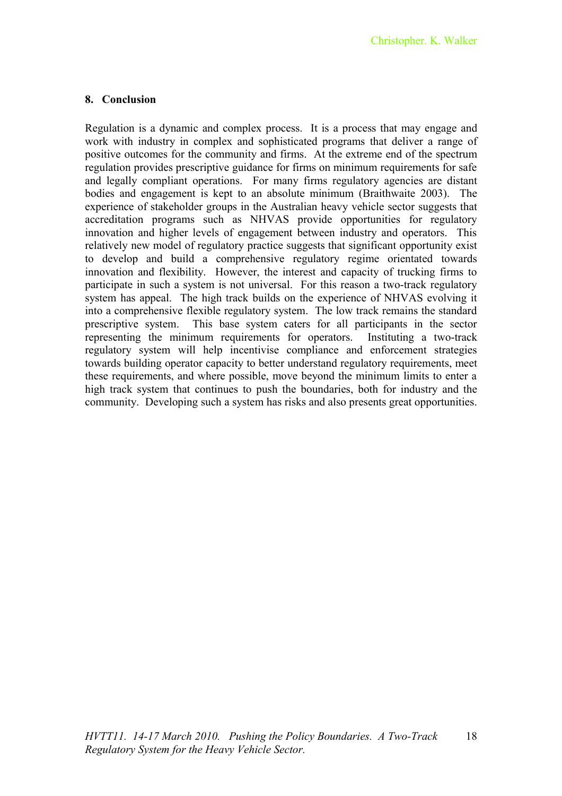# **8. Conclusion**

Regulation is a dynamic and complex process. It is a process that may engage and work with industry in complex and sophisticated programs that deliver a range of positive outcomes for the community and firms. At the extreme end of the spectrum regulation provides prescriptive guidance for firms on minimum requirements for safe and legally compliant operations. For many firms regulatory agencies are distant bodies and engagement is kept to an absolute minimum (Braithwaite 2003). The experience of stakeholder groups in the Australian heavy vehicle sector suggests that accreditation programs such as NHVAS provide opportunities for regulatory innovation and higher levels of engagement between industry and operators. This relatively new model of regulatory practice suggests that significant opportunity exist to develop and build a comprehensive regulatory regime orientated towards innovation and flexibility. However, the interest and capacity of trucking firms to participate in such a system is not universal. For this reason a two-track regulatory system has appeal. The high track builds on the experience of NHVAS evolving it into a comprehensive flexible regulatory system. The low track remains the standard prescriptive system. This base system caters for all participants in the sector representing the minimum requirements for operators. Instituting a two-track regulatory system will help incentivise compliance and enforcement strategies towards building operator capacity to better understand regulatory requirements, meet these requirements, and where possible, move beyond the minimum limits to enter a high track system that continues to push the boundaries, both for industry and the community. Developing such a system has risks and also presents great opportunities.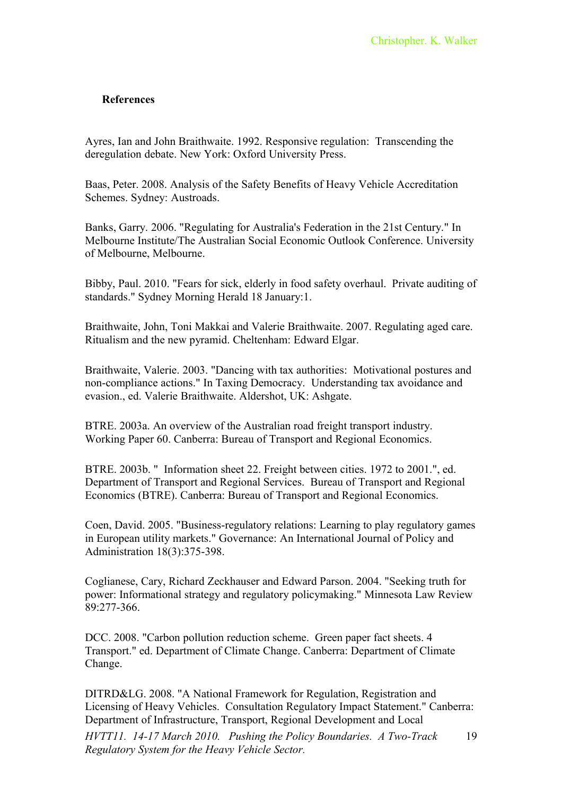#### **References**

Ayres, Ian and John Braithwaite. 1992. Responsive regulation: Transcending the deregulation debate. New York: Oxford University Press.

Baas, Peter. 2008. Analysis of the Safety Benefits of Heavy Vehicle Accreditation Schemes. Sydney: Austroads.

Banks, Garry. 2006. "Regulating for Australia's Federation in the 21st Century." In Melbourne Institute/The Australian Social Economic Outlook Conference. University of Melbourne, Melbourne.

Bibby, Paul. 2010. "Fears for sick, elderly in food safety overhaul. Private auditing of standards." Sydney Morning Herald 18 January:1.

Braithwaite, John, Toni Makkai and Valerie Braithwaite. 2007. Regulating aged care. Ritualism and the new pyramid. Cheltenham: Edward Elgar.

Braithwaite, Valerie. 2003. "Dancing with tax authorities: Motivational postures and non-compliance actions." In Taxing Democracy. Understanding tax avoidance and evasion., ed. Valerie Braithwaite. Aldershot, UK: Ashgate.

BTRE. 2003a. An overview of the Australian road freight transport industry. Working Paper 60. Canberra: Bureau of Transport and Regional Economics.

BTRE. 2003b. " Information sheet 22. Freight between cities. 1972 to 2001.", ed. Department of Transport and Regional Services. Bureau of Transport and Regional Economics (BTRE). Canberra: Bureau of Transport and Regional Economics.

Coen, David. 2005. "Business-regulatory relations: Learning to play regulatory games in European utility markets." Governance: An International Journal of Policy and Administration 18(3):375-398.

Coglianese, Cary, Richard Zeckhauser and Edward Parson. 2004. "Seeking truth for power: Informational strategy and regulatory policymaking." Minnesota Law Review 89:277-366.

DCC. 2008. "Carbon pollution reduction scheme. Green paper fact sheets. 4 Transport." ed. Department of Climate Change. Canberra: Department of Climate Change.

DITRD&LG. 2008. "A National Framework for Regulation, Registration and Licensing of Heavy Vehicles. Consultation Regulatory Impact Statement." Canberra: Department of Infrastructure, Transport, Regional Development and Local *HVTT11. 14-17 March 2010. Pushing the Policy Boundaries. A Two-Track Regulatory System for the Heavy Vehicle Sector.*  19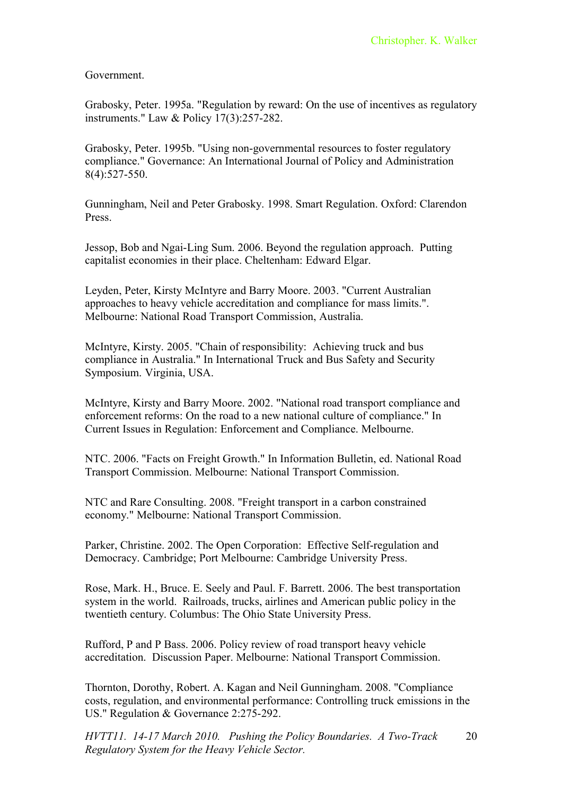Government.

Grabosky, Peter. 1995a. "Regulation by reward: On the use of incentives as regulatory instruments." Law & Policy 17(3):257-282.

Grabosky, Peter. 1995b. "Using non-governmental resources to foster regulatory compliance." Governance: An International Journal of Policy and Administration 8(4):527-550.

Gunningham, Neil and Peter Grabosky. 1998. Smart Regulation. Oxford: Clarendon Press.

Jessop, Bob and Ngai-Ling Sum. 2006. Beyond the regulation approach. Putting capitalist economies in their place. Cheltenham: Edward Elgar.

Leyden, Peter, Kirsty McIntyre and Barry Moore. 2003. "Current Australian approaches to heavy vehicle accreditation and compliance for mass limits.". Melbourne: National Road Transport Commission, Australia.

McIntyre, Kirsty. 2005. "Chain of responsibility: Achieving truck and bus compliance in Australia." In International Truck and Bus Safety and Security Symposium. Virginia, USA.

McIntyre, Kirsty and Barry Moore. 2002. "National road transport compliance and enforcement reforms: On the road to a new national culture of compliance." In Current Issues in Regulation: Enforcement and Compliance. Melbourne.

NTC. 2006. "Facts on Freight Growth." In Information Bulletin, ed. National Road Transport Commission. Melbourne: National Transport Commission.

NTC and Rare Consulting. 2008. "Freight transport in a carbon constrained economy." Melbourne: National Transport Commission.

Parker, Christine. 2002. The Open Corporation: Effective Self-regulation and Democracy. Cambridge; Port Melbourne: Cambridge University Press.

Rose, Mark. H., Bruce. E. Seely and Paul. F. Barrett. 2006. The best transportation system in the world. Railroads, trucks, airlines and American public policy in the twentieth century. Columbus: The Ohio State University Press.

Rufford, P and P Bass. 2006. Policy review of road transport heavy vehicle accreditation. Discussion Paper. Melbourne: National Transport Commission.

Thornton, Dorothy, Robert. A. Kagan and Neil Gunningham. 2008. "Compliance costs, regulation, and environmental performance: Controlling truck emissions in the US." Regulation & Governance 2:275-292.